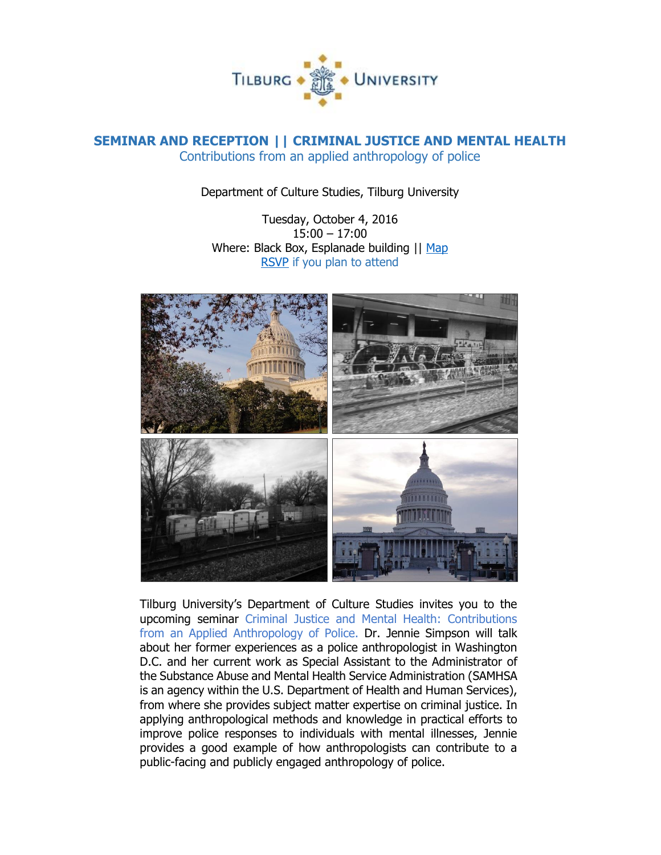

## **SEMINAR AND RECEPTION || CRIMINAL JUSTICE AND MENTAL HEALTH** Contributions from an applied anthropology of police

Department of Culture Studies, Tilburg University

Tuesday, October 4, 2016 15:00 – 17:00 Where: Black Box, Esplanade building || [Map](https://www.tilburguniversity.edu/contact/campus-map/) [RSVP](mailto:p.mutsaers@tilburguniversity.edu) if you plan to attend



Tilburg University's Department of Culture Studies invites you to the upcoming seminar Criminal Justice and Mental Health: Contributions from an Applied Anthropology of Police. Dr. Jennie Simpson will talk about her former experiences as a police anthropologist in Washington D.C. and her current work as Special Assistant to the Administrator of the Substance Abuse and Mental Health Service Administration (SAMHSA is an agency within the U.S. Department of Health and Human Services), from where she provides subject matter expertise on criminal justice. In applying anthropological methods and knowledge in practical efforts to improve police responses to individuals with mental illnesses, Jennie provides a good example of how anthropologists can contribute to a public-facing and publicly engaged anthropology of police.